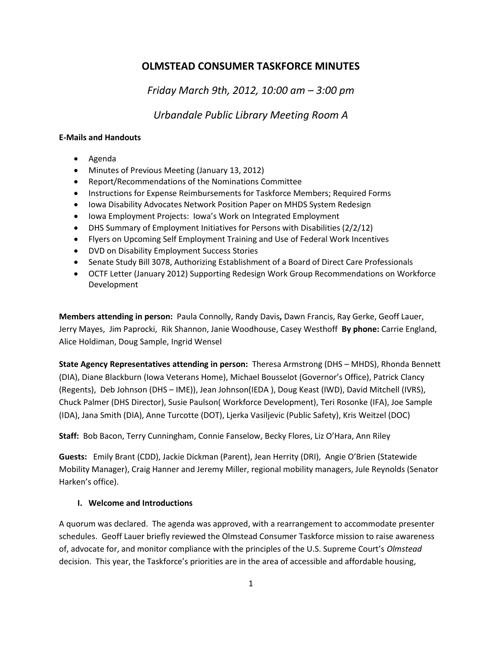# **OLMSTEAD CONSUMER TASKFORCE MINUTES**

*Friday March 9th, 2012, 10:00 am – 3:00 pm*

*Urbandale Public Library Meeting Room A*

### **E-Mails and Handouts**

- Agenda
- Minutes of Previous Meeting (January 13, 2012)
- Report/Recommendations of the Nominations Committee
- Instructions for Expense Reimbursements for Taskforce Members; Required Forms
- Iowa Disability Advocates Network Position Paper on MHDS System Redesign
- Iowa Employment Projects: Iowa's Work on Integrated Employment
- DHS Summary of Employment Initiatives for Persons with Disabilities (2/2/12)
- Flyers on Upcoming Self Employment Training and Use of Federal Work Incentives
- DVD on Disability Employment Success Stories
- Senate Study Bill 3078, Authorizing Establishment of a Board of Direct Care Professionals
- OCTF Letter (January 2012) Supporting Redesign Work Group Recommendations on Workforce Development

**Members attending in person:** Paula Connolly, Randy Davis**,** Dawn Francis, Ray Gerke, Geoff Lauer, Jerry Mayes, Jim Paprocki, Rik Shannon, Janie Woodhouse, Casey Westhoff **By phone:** Carrie England, Alice Holdiman, Doug Sample, Ingrid Wensel

**State Agency Representatives attending in person:** Theresa Armstrong (DHS – MHDS), Rhonda Bennett (DIA), Diane Blackburn (Iowa Veterans Home), Michael Bousselot (Governor's Office), Patrick Clancy (Regents), Deb Johnson (DHS – IME)), Jean Johnson(IEDA ), Doug Keast (IWD), David Mitchell (IVRS), Chuck Palmer (DHS Director), Susie Paulson( Workforce Development), Teri Rosonke (IFA), Joe Sample (IDA), Jana Smith (DIA), Anne Turcotte (DOT), Ljerka Vasiljevic (Public Safety), Kris Weitzel (DOC)

**Staff:** Bob Bacon, Terry Cunningham, Connie Fanselow, Becky Flores, Liz O'Hara, Ann Riley

**Guests:** Emily Brant (CDD), Jackie Dickman (Parent), Jean Herrity (DRI), Angie O'Brien (Statewide Mobility Manager), Craig Hanner and Jeremy Miller, regional mobility managers, Jule Reynolds (Senator Harken's office).

# **I. Welcome and Introductions**

A quorum was declared. The agenda was approved, with a rearrangement to accommodate presenter schedules. Geoff Lauer briefly reviewed the Olmstead Consumer Taskforce mission to raise awareness of, advocate for, and monitor compliance with the principles of the U.S. Supreme Court's *Olmstead* decision. This year, the Taskforce's priorities are in the area of accessible and affordable housing,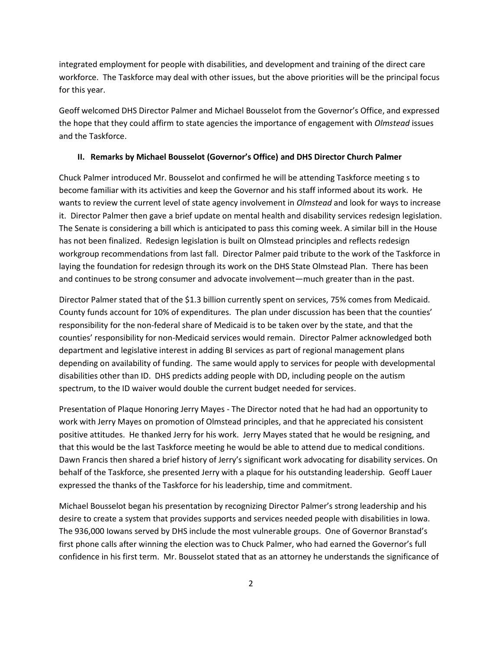integrated employment for people with disabilities, and development and training of the direct care workforce. The Taskforce may deal with other issues, but the above priorities will be the principal focus for this year.

Geoff welcomed DHS Director Palmer and Michael Bousselot from the Governor's Office, and expressed the hope that they could affirm to state agencies the importance of engagement with *Olmstead* issues and the Taskforce.

#### **II. Remarks by Michael Bousselot (Governor's Office) and DHS Director Church Palmer**

Chuck Palmer introduced Mr. Bousselot and confirmed he will be attending Taskforce meeting s to become familiar with its activities and keep the Governor and his staff informed about its work. He wants to review the current level of state agency involvement in *Olmstead* and look for ways to increase it. Director Palmer then gave a brief update on mental health and disability services redesign legislation. The Senate is considering a bill which is anticipated to pass this coming week. A similar bill in the House has not been finalized. Redesign legislation is built on Olmstead principles and reflects redesign workgroup recommendations from last fall. Director Palmer paid tribute to the work of the Taskforce in laying the foundation for redesign through its work on the DHS State Olmstead Plan. There has been and continues to be strong consumer and advocate involvement—much greater than in the past.

Director Palmer stated that of the \$1.3 billion currently spent on services, 75% comes from Medicaid. County funds account for 10% of expenditures. The plan under discussion has been that the counties' responsibility for the non-federal share of Medicaid is to be taken over by the state, and that the counties' responsibility for non-Medicaid services would remain. Director Palmer acknowledged both department and legislative interest in adding BI services as part of regional management plans depending on availability of funding. The same would apply to services for people with developmental disabilities other than ID. DHS predicts adding people with DD, including people on the autism spectrum, to the ID waiver would double the current budget needed for services.

Presentation of Plaque Honoring Jerry Mayes - The Director noted that he had had an opportunity to work with Jerry Mayes on promotion of Olmstead principles, and that he appreciated his consistent positive attitudes. He thanked Jerry for his work. Jerry Mayes stated that he would be resigning, and that this would be the last Taskforce meeting he would be able to attend due to medical conditions. Dawn Francis then shared a brief history of Jerry's significant work advocating for disability services. On behalf of the Taskforce, she presented Jerry with a plaque for his outstanding leadership. Geoff Lauer expressed the thanks of the Taskforce for his leadership, time and commitment.

Michael Bousselot began his presentation by recognizing Director Palmer's strong leadership and his desire to create a system that provides supports and services needed people with disabilities in Iowa. The 936,000 Iowans served by DHS include the most vulnerable groups. One of Governor Branstad's first phone calls after winning the election was to Chuck Palmer, who had earned the Governor's full confidence in his first term. Mr. Bousselot stated that as an attorney he understands the significance of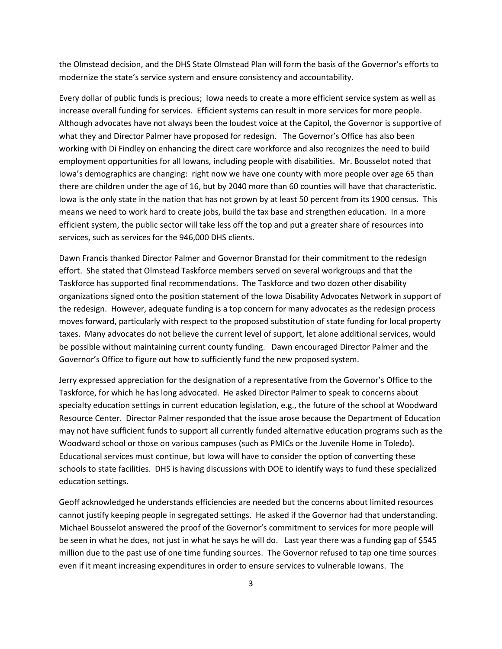the Olmstead decision, and the DHS State Olmstead Plan will form the basis of the Governor's efforts to modernize the state's service system and ensure consistency and accountability.

Every dollar of public funds is precious; Iowa needs to create a more efficient service system as well as increase overall funding for services. Efficient systems can result in more services for more people. Although advocates have not always been the loudest voice at the Capitol, the Governor is supportive of what they and Director Palmer have proposed for redesign. The Governor's Office has also been working with Di Findley on enhancing the direct care workforce and also recognizes the need to build employment opportunities for all Iowans, including people with disabilities. Mr. Bousselot noted that Iowa's demographics are changing: right now we have one county with more people over age 65 than there are children under the age of 16, but by 2040 more than 60 counties will have that characteristic. Iowa is the only state in the nation that has not grown by at least 50 percent from its 1900 census. This means we need to work hard to create jobs, build the tax base and strengthen education. In a more efficient system, the public sector will take less off the top and put a greater share of resources into services, such as services for the 946,000 DHS clients.

Dawn Francis thanked Director Palmer and Governor Branstad for their commitment to the redesign effort. She stated that Olmstead Taskforce members served on several workgroups and that the Taskforce has supported final recommendations. The Taskforce and two dozen other disability organizations signed onto the position statement of the Iowa Disability Advocates Network in support of the redesign. However, adequate funding is a top concern for many advocates as the redesign process moves forward, particularly with respect to the proposed substitution of state funding for local property taxes. Many advocates do not believe the current level of support, let alone additional services, would be possible without maintaining current county funding. Dawn encouraged Director Palmer and the Governor's Office to figure out how to sufficiently fund the new proposed system.

Jerry expressed appreciation for the designation of a representative from the Governor's Office to the Taskforce, for which he has long advocated. He asked Director Palmer to speak to concerns about specialty education settings in current education legislation, e.g., the future of the school at Woodward Resource Center. Director Palmer responded that the issue arose because the Department of Education may not have sufficient funds to support all currently funded alternative education programs such as the Woodward school or those on various campuses (such as PMICs or the Juvenile Home in Toledo). Educational services must continue, but Iowa will have to consider the option of converting these schools to state facilities. DHS is having discussions with DOE to identify ways to fund these specialized education settings.

Geoff acknowledged he understands efficiencies are needed but the concerns about limited resources cannot justify keeping people in segregated settings. He asked if the Governor had that understanding. Michael Bousselot answered the proof of the Governor's commitment to services for more people will be seen in what he does, not just in what he says he will do. Last year there was a funding gap of \$545 million due to the past use of one time funding sources. The Governor refused to tap one time sources even if it meant increasing expenditures in order to ensure services to vulnerable Iowans. The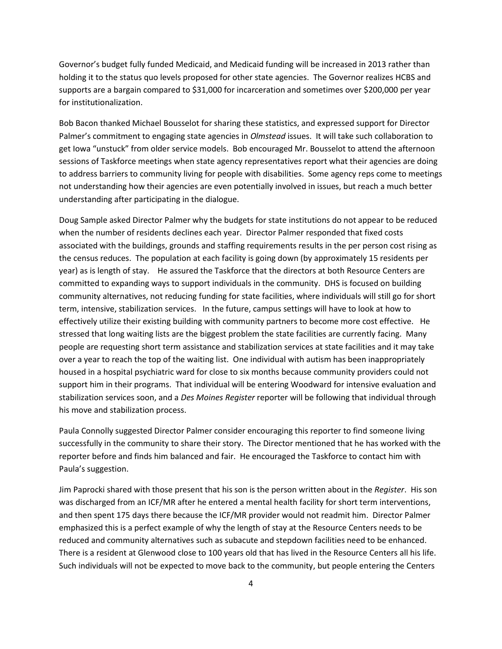Governor's budget fully funded Medicaid, and Medicaid funding will be increased in 2013 rather than holding it to the status quo levels proposed for other state agencies. The Governor realizes HCBS and supports are a bargain compared to \$31,000 for incarceration and sometimes over \$200,000 per year for institutionalization.

Bob Bacon thanked Michael Bousselot for sharing these statistics, and expressed support for Director Palmer's commitment to engaging state agencies in *Olmstead* issues. It will take such collaboration to get Iowa "unstuck" from older service models. Bob encouraged Mr. Bousselot to attend the afternoon sessions of Taskforce meetings when state agency representatives report what their agencies are doing to address barriers to community living for people with disabilities. Some agency reps come to meetings not understanding how their agencies are even potentially involved in issues, but reach a much better understanding after participating in the dialogue.

Doug Sample asked Director Palmer why the budgets for state institutions do not appear to be reduced when the number of residents declines each year. Director Palmer responded that fixed costs associated with the buildings, grounds and staffing requirements results in the per person cost rising as the census reduces. The population at each facility is going down (by approximately 15 residents per year) as is length of stay. He assured the Taskforce that the directors at both Resource Centers are committed to expanding ways to support individuals in the community. DHS is focused on building community alternatives, not reducing funding for state facilities, where individuals will still go for short term, intensive, stabilization services. In the future, campus settings will have to look at how to effectively utilize their existing building with community partners to become more cost effective. He stressed that long waiting lists are the biggest problem the state facilities are currently facing. Many people are requesting short term assistance and stabilization services at state facilities and it may take over a year to reach the top of the waiting list. One individual with autism has been inappropriately housed in a hospital psychiatric ward for close to six months because community providers could not support him in their programs. That individual will be entering Woodward for intensive evaluation and stabilization services soon, and a *Des Moines Register* reporter will be following that individual through his move and stabilization process.

Paula Connolly suggested Director Palmer consider encouraging this reporter to find someone living successfully in the community to share their story. The Director mentioned that he has worked with the reporter before and finds him balanced and fair. He encouraged the Taskforce to contact him with Paula's suggestion.

Jim Paprocki shared with those present that his son is the person written about in the *Register*. His son was discharged from an ICF/MR after he entered a mental health facility for short term interventions, and then spent 175 days there because the ICF/MR provider would not readmit him. Director Palmer emphasized this is a perfect example of why the length of stay at the Resource Centers needs to be reduced and community alternatives such as subacute and stepdown facilities need to be enhanced. There is a resident at Glenwood close to 100 years old that has lived in the Resource Centers all his life. Such individuals will not be expected to move back to the community, but people entering the Centers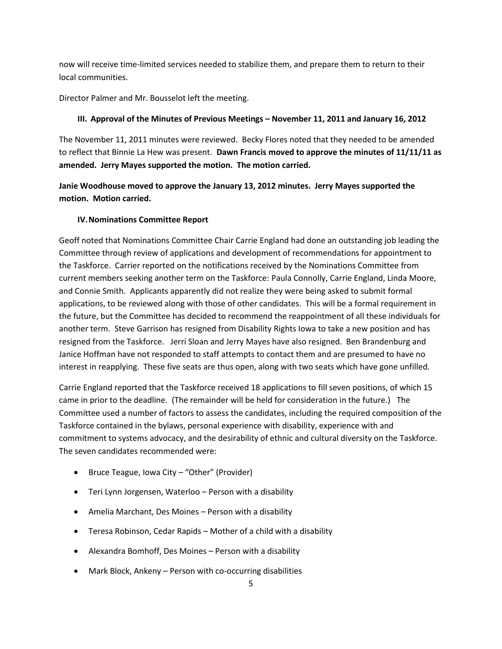now will receive time-limited services needed to stabilize them, and prepare them to return to their local communities.

Director Palmer and Mr. Bousselot left the meeting.

## **III. Approval of the Minutes of Previous Meetings – November 11, 2011 and January 16, 2012**

The November 11, 2011 minutes were reviewed. Becky Flores noted that they needed to be amended to reflect that Binnie La Hew was present. **Dawn Francis moved to approve the minutes of 11/11/11 as amended. Jerry Mayes supported the motion. The motion carried.**

**Janie Woodhouse moved to approve the January 13, 2012 minutes. Jerry Mayes supported the motion. Motion carried.**

### **IV.Nominations Committee Report**

Geoff noted that Nominations Committee Chair Carrie England had done an outstanding job leading the Committee through review of applications and development of recommendations for appointment to the Taskforce. Carrier reported on the notifications received by the Nominations Committee from current members seeking another term on the Taskforce: Paula Connolly, Carrie England, Linda Moore, and Connie Smith. Applicants apparently did not realize they were being asked to submit formal applications, to be reviewed along with those of other candidates. This will be a formal requirement in the future, but the Committee has decided to recommend the reappointment of all these individuals for another term. Steve Garrison has resigned from Disability Rights Iowa to take a new position and has resigned from the Taskforce. Jerri Sloan and Jerry Mayes have also resigned. Ben Brandenburg and Janice Hoffman have not responded to staff attempts to contact them and are presumed to have no interest in reapplying. These five seats are thus open, along with two seats which have gone unfilled.

Carrie England reported that the Taskforce received 18 applications to fill seven positions, of which 15 came in prior to the deadline. (The remainder will be held for consideration in the future.) The Committee used a number of factors to assess the candidates, including the required composition of the Taskforce contained in the bylaws, personal experience with disability, experience with and commitment to systems advocacy, and the desirability of ethnic and cultural diversity on the Taskforce. The seven candidates recommended were:

- Bruce Teague, Iowa City "Other" (Provider)
- Teri Lynn Jorgensen, Waterloo Person with a disability
- Amelia Marchant, Des Moines Person with a disability
- Teresa Robinson, Cedar Rapids Mother of a child with a disability
- Alexandra Bomhoff, Des Moines Person with a disability
- Mark Block, Ankeny Person with co-occurring disabilities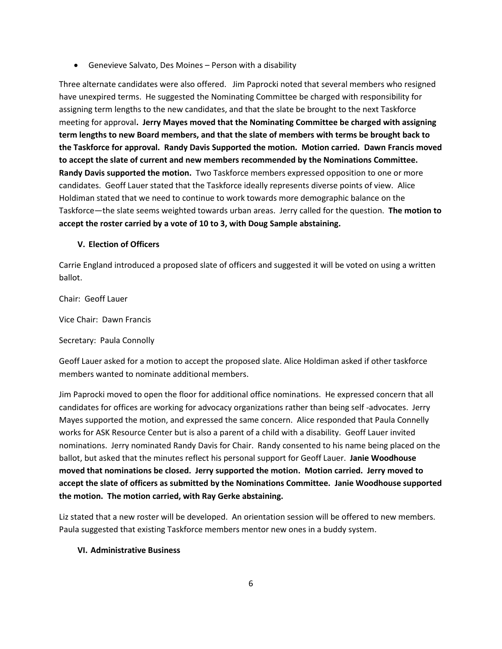Genevieve Salvato, Des Moines – Person with a disability

Three alternate candidates were also offered. Jim Paprocki noted that several members who resigned have unexpired terms. He suggested the Nominating Committee be charged with responsibility for assigning term lengths to the new candidates, and that the slate be brought to the next Taskforce meeting for approval**. Jerry Mayes moved that the Nominating Committee be charged with assigning term lengths to new Board members, and that the slate of members with terms be brought back to the Taskforce for approval. Randy Davis Supported the motion. Motion carried. Dawn Francis moved to accept the slate of current and new members recommended by the Nominations Committee. Randy Davis supported the motion.** Two Taskforce members expressed opposition to one or more candidates. Geoff Lauer stated that the Taskforce ideally represents diverse points of view. Alice Holdiman stated that we need to continue to work towards more demographic balance on the Taskforce—the slate seems weighted towards urban areas. Jerry called for the question. **The motion to accept the roster carried by a vote of 10 to 3, with Doug Sample abstaining.**

### **V. Election of Officers**

Carrie England introduced a proposed slate of officers and suggested it will be voted on using a written ballot.

Chair: Geoff Lauer

Vice Chair: Dawn Francis

Secretary: Paula Connolly

Geoff Lauer asked for a motion to accept the proposed slate. Alice Holdiman asked if other taskforce members wanted to nominate additional members.

Jim Paprocki moved to open the floor for additional office nominations. He expressed concern that all candidates for offices are working for advocacy organizations rather than being self -advocates. Jerry Mayes supported the motion, and expressed the same concern. Alice responded that Paula Connelly works for ASK Resource Center but is also a parent of a child with a disability. Geoff Lauer invited nominations. Jerry nominated Randy Davis for Chair. Randy consented to his name being placed on the ballot, but asked that the minutes reflect his personal support for Geoff Lauer. **Janie Woodhouse moved that nominations be closed. Jerry supported the motion. Motion carried. Jerry moved to accept the slate of officers as submitted by the Nominations Committee. Janie Woodhouse supported the motion. The motion carried, with Ray Gerke abstaining.**

Liz stated that a new roster will be developed. An orientation session will be offered to new members. Paula suggested that existing Taskforce members mentor new ones in a buddy system.

### **VI. Administrative Business**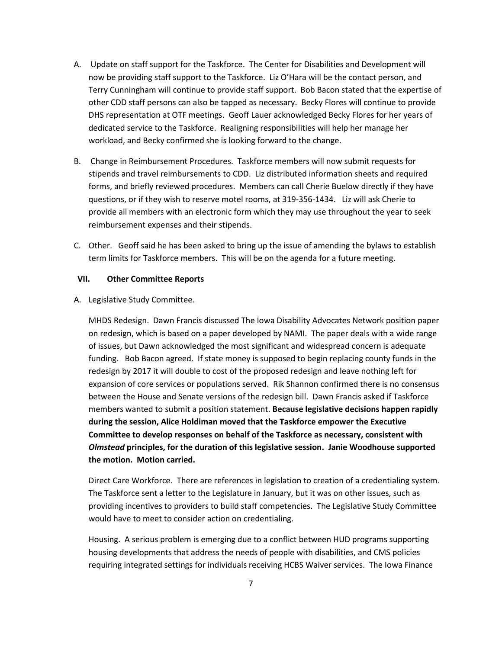- A. Update on staff support for the Taskforce. The Center for Disabilities and Development will now be providing staff support to the Taskforce. Liz O'Hara will be the contact person, and Terry Cunningham will continue to provide staff support. Bob Bacon stated that the expertise of other CDD staff persons can also be tapped as necessary. Becky Flores will continue to provide DHS representation at OTF meetings. Geoff Lauer acknowledged Becky Flores for her years of dedicated service to the Taskforce. Realigning responsibilities will help her manage her workload, and Becky confirmed she is looking forward to the change.
- B. Change in Reimbursement Procedures. Taskforce members will now submit requests for stipends and travel reimbursements to CDD. Liz distributed information sheets and required forms, and briefly reviewed procedures. Members can call Cherie Buelow directly if they have questions, or if they wish to reserve motel rooms, at 319-356-1434. Liz will ask Cherie to provide all members with an electronic form which they may use throughout the year to seek reimbursement expenses and their stipends.
- C. Other. Geoff said he has been asked to bring up the issue of amending the bylaws to establish term limits for Taskforce members. This will be on the agenda for a future meeting.

#### **VII. Other Committee Reports**

A. Legislative Study Committee.

MHDS Redesign. Dawn Francis discussed The Iowa Disability Advocates Network position paper on redesign, which is based on a paper developed by NAMI. The paper deals with a wide range of issues, but Dawn acknowledged the most significant and widespread concern is adequate funding. Bob Bacon agreed. If state money is supposed to begin replacing county funds in the redesign by 2017 it will double to cost of the proposed redesign and leave nothing left for expansion of core services or populations served. Rik Shannon confirmed there is no consensus between the House and Senate versions of the redesign bill. Dawn Francis asked if Taskforce members wanted to submit a position statement. **Because legislative decisions happen rapidly during the session, Alice Holdiman moved that the Taskforce empower the Executive Committee to develop responses on behalf of the Taskforce as necessary, consistent with**  *Olmstead* **principles, for the duration of this legislative session. Janie Woodhouse supported the motion. Motion carried.**

Direct Care Workforce. There are references in legislation to creation of a credentialing system. The Taskforce sent a letter to the Legislature in January, but it was on other issues, such as providing incentives to providers to build staff competencies. The Legislative Study Committee would have to meet to consider action on credentialing.

Housing. A serious problem is emerging due to a conflict between HUD programs supporting housing developments that address the needs of people with disabilities, and CMS policies requiring integrated settings for individuals receiving HCBS Waiver services. The Iowa Finance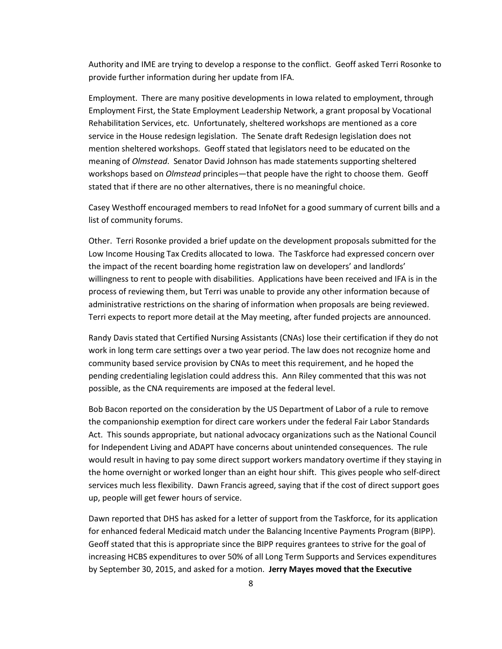Authority and IME are trying to develop a response to the conflict. Geoff asked Terri Rosonke to provide further information during her update from IFA.

Employment. There are many positive developments in Iowa related to employment, through Employment First, the State Employment Leadership Network, a grant proposal by Vocational Rehabilitation Services, etc. Unfortunately, sheltered workshops are mentioned as a core service in the House redesign legislation. The Senate draft Redesign legislation does not mention sheltered workshops. Geoff stated that legislators need to be educated on the meaning of *Olmstead*. Senator David Johnson has made statements supporting sheltered workshops based on *Olmstead* principles—that people have the right to choose them. Geoff stated that if there are no other alternatives, there is no meaningful choice.

Casey Westhoff encouraged members to read InfoNet for a good summary of current bills and a list of community forums.

Other. Terri Rosonke provided a brief update on the development proposals submitted for the Low Income Housing Tax Credits allocated to Iowa. The Taskforce had expressed concern over the impact of the recent boarding home registration law on developers' and landlords' willingness to rent to people with disabilities. Applications have been received and IFA is in the process of reviewing them, but Terri was unable to provide any other information because of administrative restrictions on the sharing of information when proposals are being reviewed. Terri expects to report more detail at the May meeting, after funded projects are announced.

Randy Davis stated that Certified Nursing Assistants (CNAs) lose their certification if they do not work in long term care settings over a two year period. The law does not recognize home and community based service provision by CNAs to meet this requirement, and he hoped the pending credentialing legislation could address this. Ann Riley commented that this was not possible, as the CNA requirements are imposed at the federal level.

Bob Bacon reported on the consideration by the US Department of Labor of a rule to remove the companionship exemption for direct care workers under the federal Fair Labor Standards Act. This sounds appropriate, but national advocacy organizations such as the National Council for Independent Living and ADAPT have concerns about unintended consequences. The rule would result in having to pay some direct support workers mandatory overtime if they staying in the home overnight or worked longer than an eight hour shift. This gives people who self-direct services much less flexibility. Dawn Francis agreed, saying that if the cost of direct support goes up, people will get fewer hours of service.

Dawn reported that DHS has asked for a letter of support from the Taskforce, for its application for enhanced federal Medicaid match under the Balancing Incentive Payments Program (BIPP). Geoff stated that this is appropriate since the BIPP requires grantees to strive for the goal of increasing HCBS expenditures to over 50% of all Long Term Supports and Services expenditures by September 30, 2015, and asked for a motion. **Jerry Mayes moved that the Executive**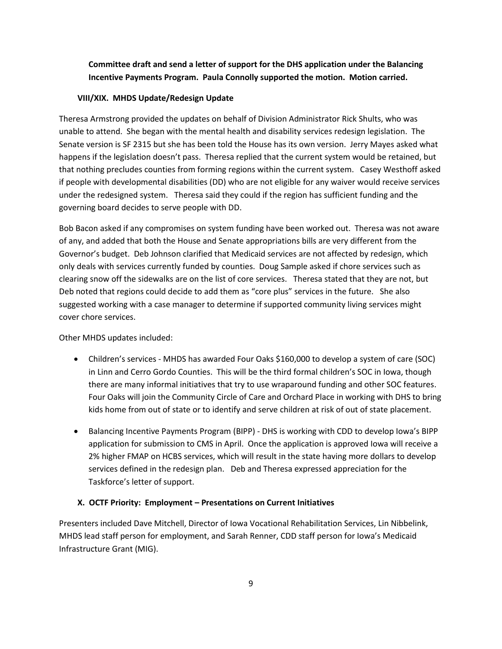**Committee draft and send a letter of support for the DHS application under the Balancing Incentive Payments Program. Paula Connolly supported the motion. Motion carried.**

#### **VIII/XIX. MHDS Update/Redesign Update**

Theresa Armstrong provided the updates on behalf of Division Administrator Rick Shults, who was unable to attend. She began with the mental health and disability services redesign legislation. The Senate version is SF 2315 but she has been told the House has its own version. Jerry Mayes asked what happens if the legislation doesn't pass. Theresa replied that the current system would be retained, but that nothing precludes counties from forming regions within the current system. Casey Westhoff asked if people with developmental disabilities (DD) who are not eligible for any waiver would receive services under the redesigned system. Theresa said they could if the region has sufficient funding and the governing board decides to serve people with DD.

Bob Bacon asked if any compromises on system funding have been worked out. Theresa was not aware of any, and added that both the House and Senate appropriations bills are very different from the Governor's budget. Deb Johnson clarified that Medicaid services are not affected by redesign, which only deals with services currently funded by counties. Doug Sample asked if chore services such as clearing snow off the sidewalks are on the list of core services. Theresa stated that they are not, but Deb noted that regions could decide to add them as "core plus" services in the future. She also suggested working with a case manager to determine if supported community living services might cover chore services.

Other MHDS updates included:

- Children's services MHDS has awarded Four Oaks \$160,000 to develop a system of care (SOC) in Linn and Cerro Gordo Counties. This will be the third formal children's SOC in Iowa, though there are many informal initiatives that try to use wraparound funding and other SOC features. Four Oaks will join the Community Circle of Care and Orchard Place in working with DHS to bring kids home from out of state or to identify and serve children at risk of out of state placement.
- Balancing Incentive Payments Program (BIPP) DHS is working with CDD to develop Iowa's BIPP application for submission to CMS in April. Once the application is approved Iowa will receive a 2% higher FMAP on HCBS services, which will result in the state having more dollars to develop services defined in the redesign plan. Deb and Theresa expressed appreciation for the Taskforce's letter of support.

### **X. OCTF Priority: Employment – Presentations on Current Initiatives**

Presenters included Dave Mitchell, Director of Iowa Vocational Rehabilitation Services, Lin Nibbelink, MHDS lead staff person for employment, and Sarah Renner, CDD staff person for Iowa's Medicaid Infrastructure Grant (MIG).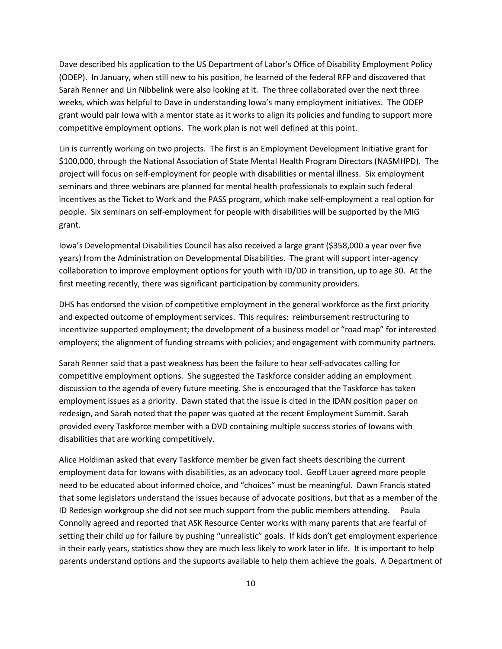Dave described his application to the US Department of Labor's Office of Disability Employment Policy (ODEP). In January, when still new to his position, he learned of the federal RFP and discovered that Sarah Renner and Lin Nibbelink were also looking at it. The three collaborated over the next three weeks, which was helpful to Dave in understanding Iowa's many employment initiatives. The ODEP grant would pair Iowa with a mentor state as it works to align its policies and funding to support more competitive employment options. The work plan is not well defined at this point.

Lin is currently working on two projects. The first is an Employment Development Initiative grant for \$100,000, through the National Association of State Mental Health Program Directors (NASMHPD). The project will focus on self-employment for people with disabilities or mental illness. Six employment seminars and three webinars are planned for mental health professionals to explain such federal incentives as the Ticket to Work and the PASS program, which make self-employment a real option for people. Six seminars on self-employment for people with disabilities will be supported by the MIG grant.

Iowa's Developmental Disabilities Council has also received a large grant (\$358,000 a year over five years) from the Administration on Developmental Disabilities. The grant will support inter-agency collaboration to improve employment options for youth with ID/DD in transition, up to age 30. At the first meeting recently, there was significant participation by community providers.

DHS has endorsed the vision of competitive employment in the general workforce as the first priority and expected outcome of employment services. This requires: reimbursement restructuring to incentivize supported employment; the development of a business model or "road map" for interested employers; the alignment of funding streams with policies; and engagement with community partners.

Sarah Renner said that a past weakness has been the failure to hear self-advocates calling for competitive employment options. She suggested the Taskforce consider adding an employment discussion to the agenda of every future meeting. She is encouraged that the Taskforce has taken employment issues as a priority. Dawn stated that the issue is cited in the IDAN position paper on redesign, and Sarah noted that the paper was quoted at the recent Employment Summit. Sarah provided every Taskforce member with a DVD containing multiple success stories of Iowans with disabilities that are working competitively.

Alice Holdiman asked that every Taskforce member be given fact sheets describing the current employment data for Iowans with disabilities, as an advocacy tool. Geoff Lauer agreed more people need to be educated about informed choice, and "choices" must be meaningful. Dawn Francis stated that some legislators understand the issues because of advocate positions, but that as a member of the ID Redesign workgroup she did not see much support from the public members attending. Paula Connolly agreed and reported that ASK Resource Center works with many parents that are fearful of setting their child up for failure by pushing "unrealistic" goals. If kids don't get employment experience in their early years, statistics show they are much less likely to work later in life. It is important to help parents understand options and the supports available to help them achieve the goals. A Department of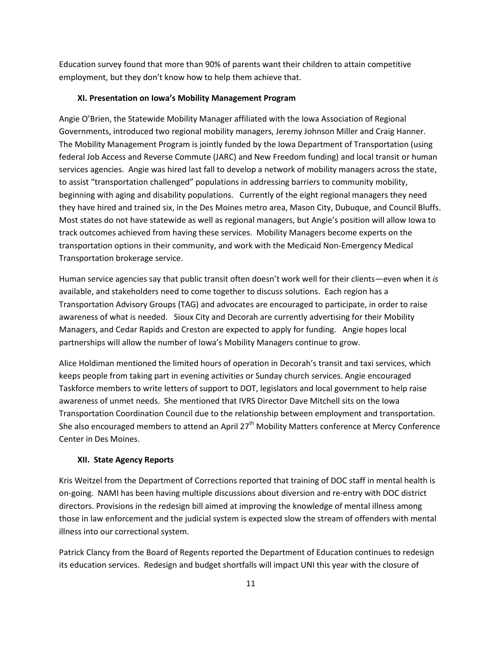Education survey found that more than 90% of parents want their children to attain competitive employment, but they don't know how to help them achieve that.

#### **XI. Presentation on Iowa's Mobility Management Program**

Angie O'Brien, the Statewide Mobility Manager affiliated with the Iowa Association of Regional Governments, introduced two regional mobility managers, Jeremy Johnson Miller and Craig Hanner. The Mobility Management Program is jointly funded by the Iowa Department of Transportation (using federal Job Access and Reverse Commute (JARC) and New Freedom funding) and local transit or human services agencies. Angie was hired last fall to develop a network of mobility managers across the state, to assist "transportation challenged" populations in addressing barriers to community mobility, beginning with aging and disability populations. Currently of the eight regional managers they need they have hired and trained six, in the Des Moines metro area, Mason City, Dubuque, and Council Bluffs. Most states do not have statewide as well as regional managers, but Angie's position will allow Iowa to track outcomes achieved from having these services. Mobility Managers become experts on the transportation options in their community, and work with the Medicaid Non-Emergency Medical Transportation brokerage service.

Human service agencies say that public transit often doesn't work well for their clients—even when it *is* available, and stakeholders need to come together to discuss solutions. Each region has a Transportation Advisory Groups (TAG) and advocates are encouraged to participate, in order to raise awareness of what is needed. Sioux City and Decorah are currently advertising for their Mobility Managers, and Cedar Rapids and Creston are expected to apply for funding. Angie hopes local partnerships will allow the number of Iowa's Mobility Managers continue to grow.

Alice Holdiman mentioned the limited hours of operation in Decorah's transit and taxi services, which keeps people from taking part in evening activities or Sunday church services. Angie encouraged Taskforce members to write letters of support to DOT, legislators and local government to help raise awareness of unmet needs. She mentioned that IVRS Director Dave Mitchell sits on the Iowa Transportation Coordination Council due to the relationship between employment and transportation. She also encouraged members to attend an April 27<sup>th</sup> Mobility Matters conference at Mercy Conference Center in Des Moines.

#### **XII. State Agency Reports**

Kris Weitzel from the Department of Corrections reported that training of DOC staff in mental health is on-going. NAMI has been having multiple discussions about diversion and re-entry with DOC district directors. Provisions in the redesign bill aimed at improving the knowledge of mental illness among those in law enforcement and the judicial system is expected slow the stream of offenders with mental illness into our correctional system.

Patrick Clancy from the Board of Regents reported the Department of Education continues to redesign its education services. Redesign and budget shortfalls will impact UNI this year with the closure of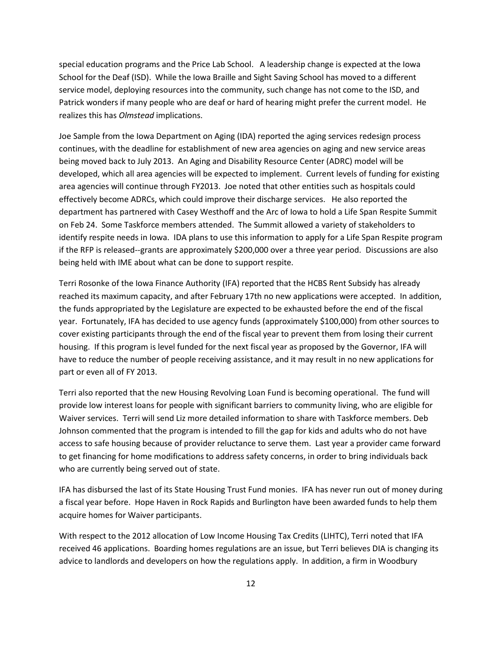special education programs and the Price Lab School. A leadership change is expected at the Iowa School for the Deaf (ISD). While the Iowa Braille and Sight Saving School has moved to a different service model, deploying resources into the community, such change has not come to the ISD, and Patrick wonders if many people who are deaf or hard of hearing might prefer the current model. He realizes this has *Olmstead* implications.

Joe Sample from the Iowa Department on Aging (IDA) reported the aging services redesign process continues, with the deadline for establishment of new area agencies on aging and new service areas being moved back to July 2013. An Aging and Disability Resource Center (ADRC) model will be developed, which all area agencies will be expected to implement. Current levels of funding for existing area agencies will continue through FY2013. Joe noted that other entities such as hospitals could effectively become ADRCs, which could improve their discharge services. He also reported the department has partnered with Casey Westhoff and the Arc of Iowa to hold a Life Span Respite Summit on Feb 24. Some Taskforce members attended. The Summit allowed a variety of stakeholders to identify respite needs in Iowa. IDA plans to use this information to apply for a Life Span Respite program if the RFP is released--grants are approximately \$200,000 over a three year period. Discussions are also being held with IME about what can be done to support respite.

Terri Rosonke of the Iowa Finance Authority (IFA) reported that the HCBS Rent Subsidy has already reached its maximum capacity, and after February 17th no new applications were accepted. In addition, the funds appropriated by the Legislature are expected to be exhausted before the end of the fiscal year. Fortunately, IFA has decided to use agency funds (approximately \$100,000) from other sources to cover existing participants through the end of the fiscal year to prevent them from losing their current housing. If this program is level funded for the next fiscal year as proposed by the Governor, IFA will have to reduce the number of people receiving assistance, and it may result in no new applications for part or even all of FY 2013.

Terri also reported that the new Housing Revolving Loan Fund is becoming operational. The fund will provide low interest loans for people with significant barriers to community living, who are eligible for Waiver services. Terri will send Liz more detailed information to share with Taskforce members. Deb Johnson commented that the program is intended to fill the gap for kids and adults who do not have access to safe housing because of provider reluctance to serve them. Last year a provider came forward to get financing for home modifications to address safety concerns, in order to bring individuals back who are currently being served out of state.

IFA has disbursed the last of its State Housing Trust Fund monies. IFA has never run out of money during a fiscal year before. Hope Haven in Rock Rapids and Burlington have been awarded funds to help them acquire homes for Waiver participants.

With respect to the 2012 allocation of Low Income Housing Tax Credits (LIHTC), Terri noted that IFA received 46 applications. Boarding homes regulations are an issue, but Terri believes DIA is changing its advice to landlords and developers on how the regulations apply. In addition, a firm in Woodbury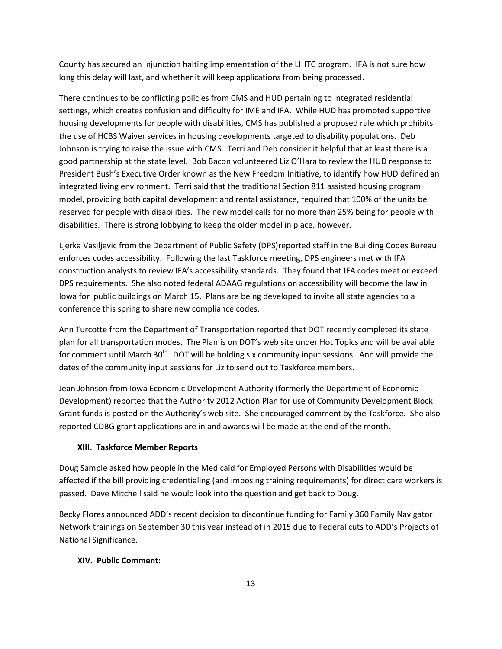County has secured an injunction halting implementation of the LIHTC program. IFA is not sure how long this delay will last, and whether it will keep applications from being processed.

There continues to be conflicting policies from CMS and HUD pertaining to integrated residential settings, which creates confusion and difficulty for IME and IFA. While HUD has promoted supportive housing developments for people with disabilities, CMS has published a proposed rule which prohibits the use of HCBS Waiver services in housing developments targeted to disability populations. Deb Johnson is trying to raise the issue with CMS. Terri and Deb consider it helpful that at least there is a good partnership at the state level. Bob Bacon volunteered Liz O'Hara to review the HUD response to President Bush's Executive Order known as the New Freedom Initiative, to identify how HUD defined an integrated living environment. Terri said that the traditional Section 811 assisted housing program model, providing both capital development and rental assistance, required that 100% of the units be reserved for people with disabilities. The new model calls for no more than 25% being for people with disabilities. There is strong lobbying to keep the older model in place, however.

Ljerka Vasiljevic from the Department of Public Safety (DPS)reported staff in the Building Codes Bureau enforces codes accessibility. Following the last Taskforce meeting, DPS engineers met with IFA construction analysts to review IFA's accessibility standards. They found that IFA codes meet or exceed DPS requirements. She also noted federal ADAAG regulations on accessibility will become the law in Iowa for public buildings on March 15. Plans are being developed to invite all state agencies to a conference this spring to share new compliance codes.

Ann Turcotte from the Department of Transportation reported that DOT recently completed its state plan for all transportation modes. The Plan is on DOT's web site under Hot Topics and will be available for comment until March 30<sup>th.</sup> DOT will be holding six community input sessions. Ann will provide the dates of the community input sessions for Liz to send out to Taskforce members.

Jean Johnson from Iowa Economic Development Authority (formerly the Department of Economic Development) reported that the Authority 2012 Action Plan for use of Community Development Block Grant funds is posted on the Authority's web site. She encouraged comment by the Taskforce. She also reported CDBG grant applications are in and awards will be made at the end of the month.

### **XIII. Taskforce Member Reports**

Doug Sample asked how people in the Medicaid for Employed Persons with Disabilities would be affected if the bill providing credentialing (and imposing training requirements) for direct care workers is passed. Dave Mitchell said he would look into the question and get back to Doug.

Becky Flores announced ADD's recent decision to discontinue funding for Family 360 Family Navigator Network trainings on September 30 this year instead of in 2015 due to Federal cuts to ADD's Projects of National Significance.

### **XIV. Public Comment:**